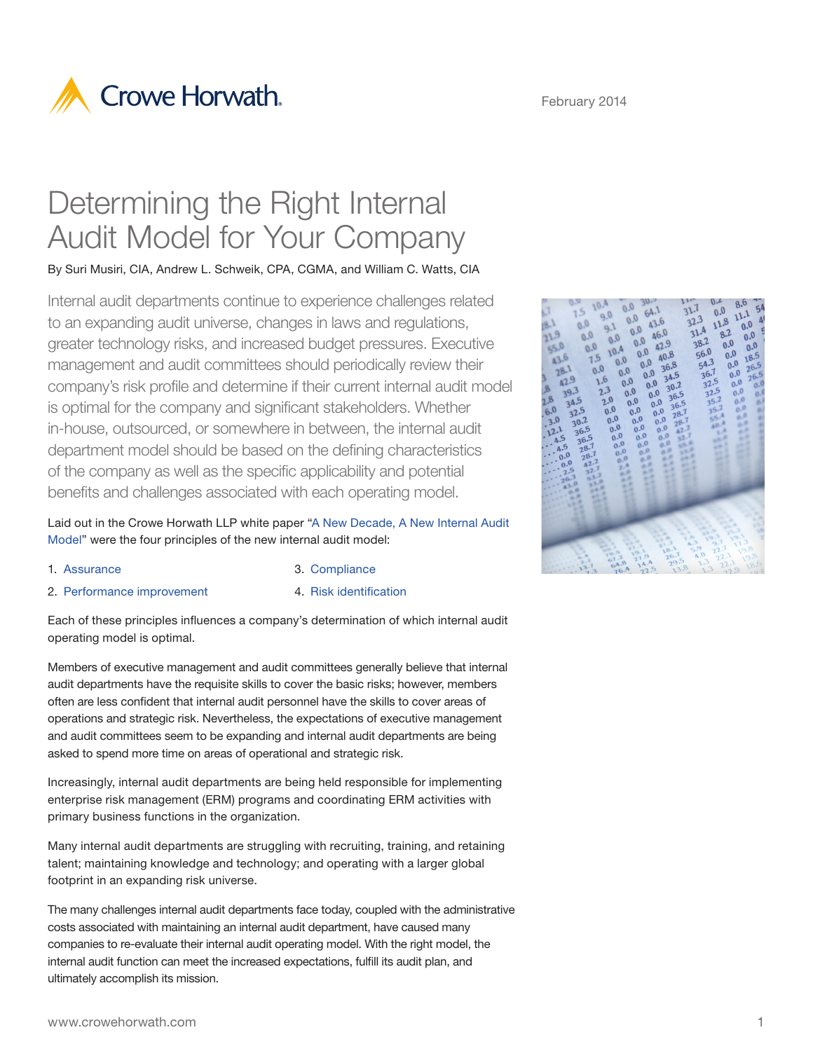



# Determining the Right Internal Audit Model for Your Company

By Suri Musiri, CIA, Andrew L. Schweik, CPA, CGMA, and William C. Watts, CIA

Internal audit departments continue to experience challenges related to an expanding audit universe, changes in laws and regulations, greater technology risks, and increased budget pressures. Executive management and audit committees should periodically review their company's risk profile and determine if their current internal audit model is optimal for the company and significant stakeholders. Whether in-house, outsourced, or somewhere in between, the internal audit department model should be based on the defining characteristics of the company as well as the specific applicability and potential benefits and challenges associated with each operating model.

Laid out in the Crowe Horwath LLP white paper ["A New Decade, A New Internal Audit](http://www.crowehorwath.com/ContentDetails.aspx?id=911)  [Model"](http://www.crowehorwath.com/ContentDetails.aspx?id=911) were the four principles of the new internal audit model:

- 1. [Assurance](http://www.crowehorwath.com/ContentDetails.aspx?id=1854)
- 
- 2. [Performance improvement](http://www.crowehorwath.com/ContentDetails.aspx?id=2182)
- 3. [Compliance](http://www.crowehorwath.com/ContentDetails.aspx?id=2791)
- 4. [Risk identification](http://www.crowehorwath.com/ContentDetails.aspx?id=2942)

Each of these principles influences a company's determination of which internal audit operating model is optimal.

Members of executive management and audit committees generally believe that internal audit departments have the requisite skills to cover the basic risks; however, members often are less confident that internal audit personnel have the skills to cover areas of operations and strategic risk. Nevertheless, the expectations of executive management and audit committees seem to be expanding and internal audit departments are being asked to spend more time on areas of operational and strategic risk.

Increasingly, internal audit departments are being held responsible for implementing enterprise risk management (ERM) programs and coordinating ERM activities with primary business functions in the organization.

Many internal audit departments are struggling with recruiting, training, and retaining talent; maintaining knowledge and technology; and operating with a larger global footprint in an expanding risk universe.

The many challenges internal audit departments face today, coupled with the administrative costs associated with maintaining an internal audit department, have caused many companies to re-evaluate their internal audit operating model. With the right model, the internal audit function can meet the increased expectations, fulfill its audit plan, and ultimately accomplish its mission.

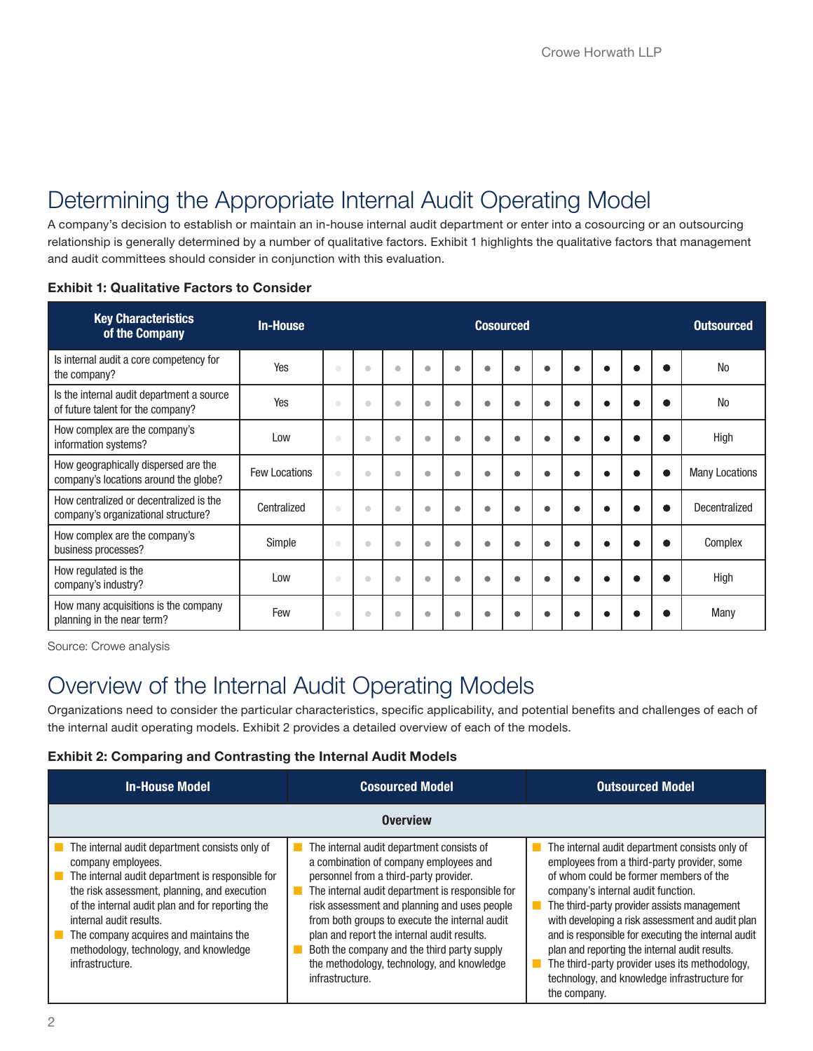## Determining the Appropriate Internal Audit Operating Model

A company's decision to establish or maintain an in-house internal audit department or enter into a cosourcing or an outsourcing relationship is generally determined by a number of qualitative factors. Exhibit 1 highlights the qualitative factors that management and audit committees should consider in conjunction with this evaluation.

| <b>Key Characteristics</b><br>of the Company                                   | <b>In-House</b>      | <b>Cosourced</b>                                                                                                                  |                         |           |           |           | <b>Outsourced</b> |   |           |  |          |                       |
|--------------------------------------------------------------------------------|----------------------|-----------------------------------------------------------------------------------------------------------------------------------|-------------------------|-----------|-----------|-----------|-------------------|---|-----------|--|----------|-----------------------|
| Is internal audit a core competency for<br>the company?                        | Yes                  | $\begin{array}{c} \begin{array}{c} \begin{array}{c} \begin{array}{c} \end{array} \end{array} \end{array} \end{array} \end{array}$ | $\qquad \qquad \bullet$ | $\bullet$ | ۰         | $\bullet$ | ۰                 | ● | ٠         |  | О.       | <b>No</b>             |
| Is the internal audit department a source<br>of future talent for the company? | Yes                  | $\color{green}\bullet$                                                                                                            | $\bullet$               | $\bullet$ | $\bullet$ | $\bullet$ | $\bullet$         |   | $\bullet$ |  |          | <b>No</b>             |
| How complex are the company's<br>information systems?                          | Low                  | $\begin{array}{c} \begin{array}{c} \begin{array}{c} \begin{array}{c} \end{array} \end{array} \end{array} \end{array} \end{array}$ | $\qquad \qquad \bullet$ | $\bullet$ | ۰         | ۰         | $\bullet$         |   | ٠         |  |          | High                  |
| How geographically dispersed are the<br>company's locations around the globe?  | <b>Few Locations</b> | $\begin{array}{c} \bullet \\ \bullet \end{array}$                                                                                 | $\qquad \qquad \Box$    | $\bullet$ | $\bullet$ | $\bullet$ | $\bullet$         |   | ٠         |  | e        | <b>Many Locations</b> |
| How centralized or decentralized is the<br>company's organizational structure? | Centralized          | $\begin{array}{c} \begin{array}{c} \begin{array}{c} \begin{array}{c} \end{array} \end{array} \end{array} \end{array} \end{array}$ | $\qquad \qquad \bullet$ | $\bullet$ | ۰         | ۰         | ٠                 |   | ٠         |  | <b>.</b> | Decentralized         |
| How complex are the company's<br>business processes?                           | Simple               | $\begin{array}{c} \bullet \\ \bullet \end{array}$                                                                                 | $\qquad \qquad \bullet$ | $\bullet$ | $\bullet$ | $\bullet$ | $\bullet$         |   | ۸         |  | œ        | Complex               |
| How regulated is the<br>company's industry?                                    | Low                  | $\bullet$                                                                                                                         | $\bullet$               | $\bullet$ | ٠         | ۰         | ٠                 |   | ë         |  |          | High                  |
| How many acquisitions is the company<br>planning in the near term?             | Few                  | $\qquad \qquad \bullet$                                                                                                           | $\bigcirc$              | $\bullet$ | $\bullet$ | ٠         | $\bullet$         |   |           |  |          | Many                  |

#### Exhibit 1: Qualitative Factors to Consider

Source: Crowe analysis

## Overview of the Internal Audit Operating Models

Organizations need to consider the particular characteristics, specific applicability, and potential benefits and challenges of each of the internal audit operating models. Exhibit 2 provides a detailed overview of each of the models.

#### Exhibit 2: Comparing and Contrasting the Internal Audit Models

| <b>In-House Model</b>                                                                                                                                                                                                                                                                                                                                          | <b>Cosourced Model</b>                                                                                                                                                                                                                                                                                                                                                                                                                             | <b>Outsourced Model</b>                                                                                                                                                                                                                                                                                                                                                                                                                                                                                     |  |  |  |  |  |  |
|----------------------------------------------------------------------------------------------------------------------------------------------------------------------------------------------------------------------------------------------------------------------------------------------------------------------------------------------------------------|----------------------------------------------------------------------------------------------------------------------------------------------------------------------------------------------------------------------------------------------------------------------------------------------------------------------------------------------------------------------------------------------------------------------------------------------------|-------------------------------------------------------------------------------------------------------------------------------------------------------------------------------------------------------------------------------------------------------------------------------------------------------------------------------------------------------------------------------------------------------------------------------------------------------------------------------------------------------------|--|--|--|--|--|--|
| <b>Overview</b>                                                                                                                                                                                                                                                                                                                                                |                                                                                                                                                                                                                                                                                                                                                                                                                                                    |                                                                                                                                                                                                                                                                                                                                                                                                                                                                                                             |  |  |  |  |  |  |
| The internal audit department consists only of<br>company employees.<br>The internal audit department is responsible for<br>the risk assessment, planning, and execution<br>of the internal audit plan and for reporting the<br>internal audit results.<br>The company acquires and maintains the<br>methodology, technology, and knowledge<br>infrastructure. | The internal audit department consists of<br>a combination of company employees and<br>personnel from a third-party provider.<br>The internal audit department is responsible for<br>risk assessment and planning and uses people<br>from both groups to execute the internal audit<br>plan and report the internal audit results.<br>Both the company and the third party supply<br>the methodology, technology, and knowledge<br>infrastructure. | The internal audit department consists only of<br>employees from a third-party provider, some<br>of whom could be former members of the<br>company's internal audit function.<br>The third-party provider assists management<br>with developing a risk assessment and audit plan<br>and is responsible for executing the internal audit<br>plan and reporting the internal audit results.<br>The third-party provider uses its methodology,<br>technology, and knowledge infrastructure for<br>the company. |  |  |  |  |  |  |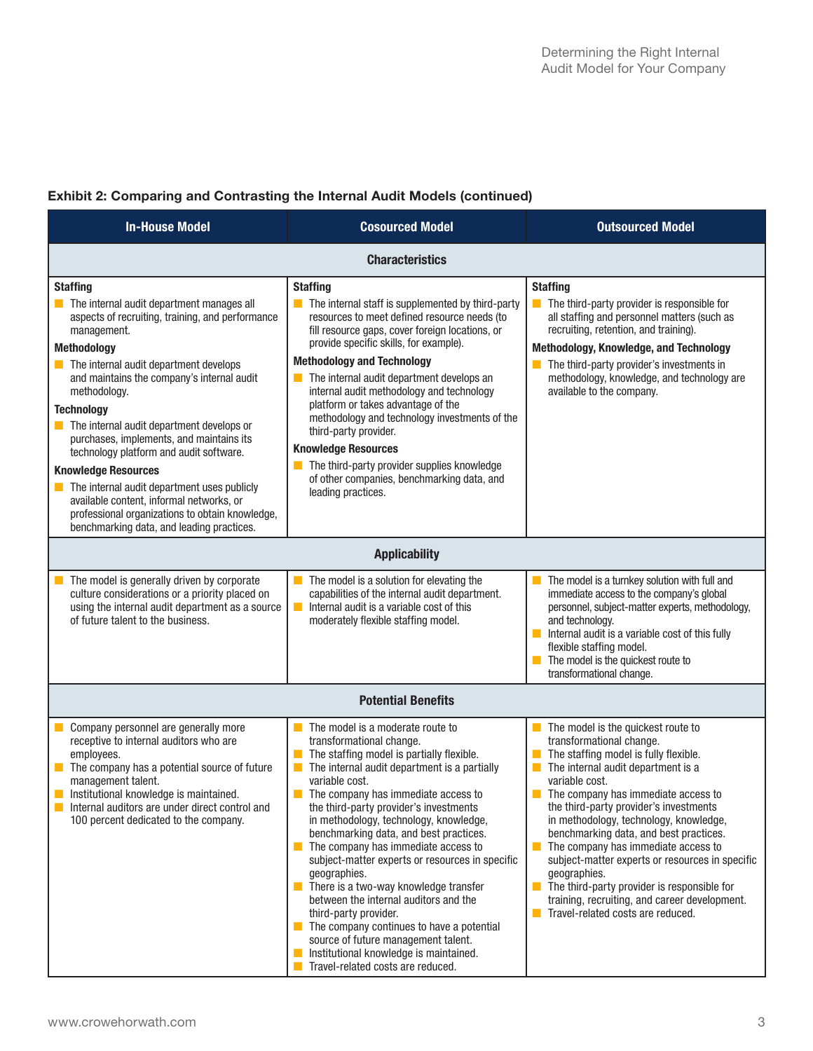### Exhibit 2: Comparing and Contrasting the Internal Audit Models (continued)

| <b>In-House Model</b>                                                                                                                                                                                                                                                                                                                                                                                                                                                                                                                                                                                                                                                                                | <b>Cosourced Model</b>                                                                                                                                                                                                                                                                                                                                                                                                                                                                                                                                                                                                                                                                                                                                                                               |                                                                                                                                                                                                                                                                                                                                                                                                                                                                                                                                                                                                                   |  |  |  |  |  |
|------------------------------------------------------------------------------------------------------------------------------------------------------------------------------------------------------------------------------------------------------------------------------------------------------------------------------------------------------------------------------------------------------------------------------------------------------------------------------------------------------------------------------------------------------------------------------------------------------------------------------------------------------------------------------------------------------|------------------------------------------------------------------------------------------------------------------------------------------------------------------------------------------------------------------------------------------------------------------------------------------------------------------------------------------------------------------------------------------------------------------------------------------------------------------------------------------------------------------------------------------------------------------------------------------------------------------------------------------------------------------------------------------------------------------------------------------------------------------------------------------------------|-------------------------------------------------------------------------------------------------------------------------------------------------------------------------------------------------------------------------------------------------------------------------------------------------------------------------------------------------------------------------------------------------------------------------------------------------------------------------------------------------------------------------------------------------------------------------------------------------------------------|--|--|--|--|--|
| <b>Characteristics</b>                                                                                                                                                                                                                                                                                                                                                                                                                                                                                                                                                                                                                                                                               |                                                                                                                                                                                                                                                                                                                                                                                                                                                                                                                                                                                                                                                                                                                                                                                                      |                                                                                                                                                                                                                                                                                                                                                                                                                                                                                                                                                                                                                   |  |  |  |  |  |
| <b>Staffing</b><br>$\blacksquare$ The internal audit department manages all<br>aspects of recruiting, training, and performance<br>management.<br>Methodology<br>$\blacksquare$ The internal audit department develops<br>and maintains the company's internal audit<br>methodology.<br><b>Technology</b><br>$\blacksquare$ The internal audit department develops or<br>purchases, implements, and maintains its<br>technology platform and audit software.<br><b>Knowledge Resources</b><br>$\blacksquare$ The internal audit department uses publicly<br>available content, informal networks, or<br>professional organizations to obtain knowledge,<br>benchmarking data, and leading practices. | <b>Staffing</b><br>$\blacksquare$ The internal staff is supplemented by third-party<br>resources to meet defined resource needs (to<br>fill resource gaps, cover foreign locations, or<br>provide specific skills, for example).<br><b>Methodology and Technology</b><br>$\blacksquare$ The internal audit department develops an<br>internal audit methodology and technology<br>platform or takes advantage of the<br>methodology and technology investments of the<br>third-party provider.<br><b>Knowledge Resources</b><br>The third-party provider supplies knowledge<br>of other companies, benchmarking data, and<br>leading practices.                                                                                                                                                      | <b>Staffing</b><br>$\blacksquare$ The third-party provider is responsible for<br>all staffing and personnel matters (such as<br>recruiting, retention, and training).<br>Methodology, Knowledge, and Technology<br>The third-party provider's investments in<br>methodology, knowledge, and technology are<br>available to the company.                                                                                                                                                                                                                                                                           |  |  |  |  |  |
| <b>Applicability</b>                                                                                                                                                                                                                                                                                                                                                                                                                                                                                                                                                                                                                                                                                 |                                                                                                                                                                                                                                                                                                                                                                                                                                                                                                                                                                                                                                                                                                                                                                                                      |                                                                                                                                                                                                                                                                                                                                                                                                                                                                                                                                                                                                                   |  |  |  |  |  |
| The model is generally driven by corporate<br>culture considerations or a priority placed on<br>using the internal audit department as a source<br>of future talent to the business.                                                                                                                                                                                                                                                                                                                                                                                                                                                                                                                 | The model is a solution for elevating the<br>capabilities of the internal audit department.<br>Internal audit is a variable cost of this<br>moderately flexible staffing model.                                                                                                                                                                                                                                                                                                                                                                                                                                                                                                                                                                                                                      | The model is a turnkey solution with full and<br>immediate access to the company's global<br>personnel, subject-matter experts, methodology,<br>and technology.<br>Internal audit is a variable cost of this fully<br>flexible staffing model.<br>$\blacksquare$ The model is the quickest route to<br>transformational change.                                                                                                                                                                                                                                                                                   |  |  |  |  |  |
| <b>Potential Benefits</b>                                                                                                                                                                                                                                                                                                                                                                                                                                                                                                                                                                                                                                                                            |                                                                                                                                                                                                                                                                                                                                                                                                                                                                                                                                                                                                                                                                                                                                                                                                      |                                                                                                                                                                                                                                                                                                                                                                                                                                                                                                                                                                                                                   |  |  |  |  |  |
| Company personnel are generally more<br>receptive to internal auditors who are<br>employees.<br>$\blacksquare$ The company has a potential source of future<br>management talent.<br>Institutional knowledge is maintained.<br>Internal auditors are under direct control and<br>100 percent dedicated to the company.                                                                                                                                                                                                                                                                                                                                                                               | The model is a moderate route to<br>transformational change.<br>$\blacksquare$ The staffing model is partially flexible.<br>The internal audit department is a partially<br>variable cost.<br>$\blacksquare$ The company has immediate access to<br>the third-party provider's investments<br>in methodology, technology, knowledge,<br>benchmarking data, and best practices.<br>The company has immediate access to<br>subject-matter experts or resources in specific<br>geographies.<br>$\blacksquare$ There is a two-way knowledge transfer<br>between the internal auditors and the<br>third-party provider.<br>$\blacksquare$ The company continues to have a potential<br>source of future management talent.<br>Institutional knowledge is maintained.<br>Travel-related costs are reduced. | The model is the quickest route to<br>transformational change.<br>$\blacksquare$ The staffing model is fully flexible.<br>The internal audit department is a<br>variable cost.<br>$\blacksquare$ The company has immediate access to<br>the third-party provider's investments<br>in methodology, technology, knowledge,<br>benchmarking data, and best practices.<br>The company has immediate access to<br>subject-matter experts or resources in specific<br>geographies.<br>The third-party provider is responsible for<br>training, recruiting, and career development.<br>Travel-related costs are reduced. |  |  |  |  |  |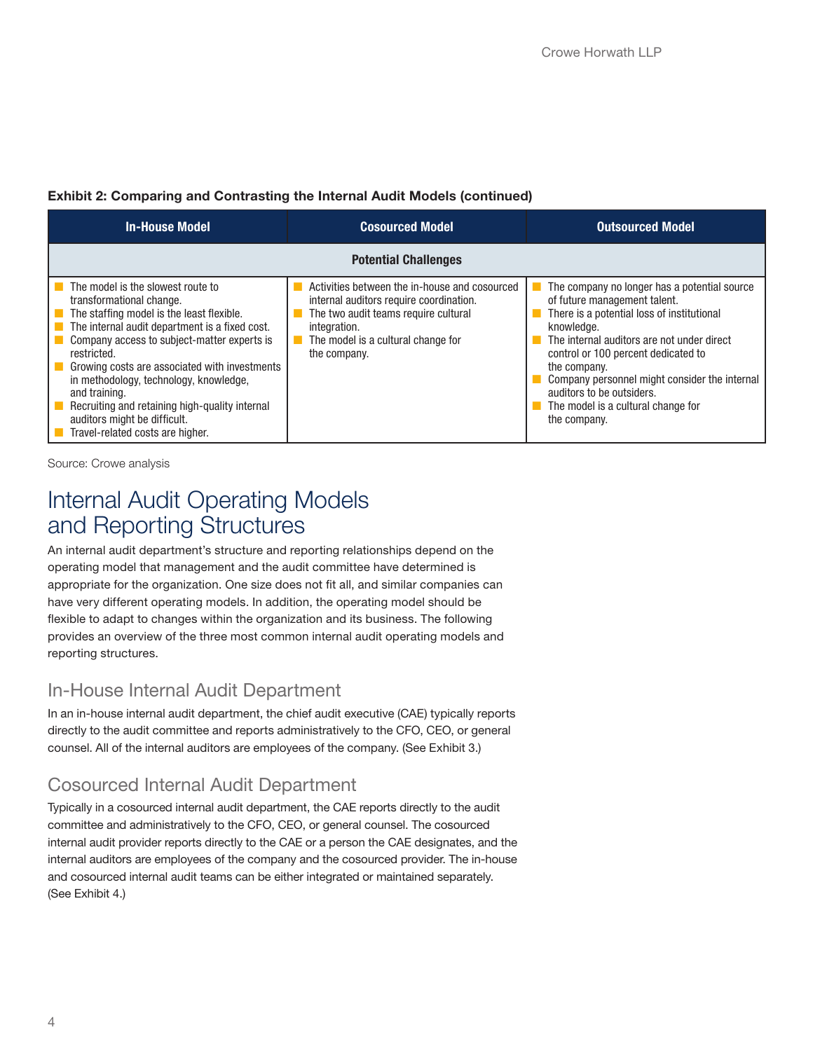#### Exhibit 2: Comparing and Contrasting the Internal Audit Models (continued)

| <b>In-House Model</b>                                                                                                                                                                                                                                                                                                                                                                                                                                        | <b>Cosourced Model</b>                                                                                                                                                                                 | <b>Outsourced Model</b>                                                                                                                                                                                                                                                                                                                                                           |  |  |  |  |  |  |  |
|--------------------------------------------------------------------------------------------------------------------------------------------------------------------------------------------------------------------------------------------------------------------------------------------------------------------------------------------------------------------------------------------------------------------------------------------------------------|--------------------------------------------------------------------------------------------------------------------------------------------------------------------------------------------------------|-----------------------------------------------------------------------------------------------------------------------------------------------------------------------------------------------------------------------------------------------------------------------------------------------------------------------------------------------------------------------------------|--|--|--|--|--|--|--|
| <b>Potential Challenges</b>                                                                                                                                                                                                                                                                                                                                                                                                                                  |                                                                                                                                                                                                        |                                                                                                                                                                                                                                                                                                                                                                                   |  |  |  |  |  |  |  |
| The model is the slowest route to<br>transformational change.<br>The staffing model is the least flexible.<br>The internal audit department is a fixed cost.<br>Company access to subject-matter experts is<br>restricted.<br>Growing costs are associated with investments<br>in methodology, technology, knowledge,<br>and training.<br>Recruiting and retaining high-quality internal<br>auditors might be difficult.<br>Travel-related costs are higher. | Activities between the in-house and cosourced<br>internal auditors require coordination.<br>The two audit teams require cultural<br>integration.<br>The model is a cultural change for<br>the company. | The company no longer has a potential source<br>of future management talent.<br>There is a potential loss of institutional<br>knowledge.<br>The internal auditors are not under direct<br>control or 100 percent dedicated to<br>the company.<br>Company personnel might consider the internal<br>auditors to be outsiders.<br>The model is a cultural change for<br>the company. |  |  |  |  |  |  |  |

Source: Crowe analysis

## Internal Audit Operating Models and Reporting Structures

An internal audit department's structure and reporting relationships depend on the operating model that management and the audit committee have determined is appropriate for the organization. One size does not fit all, and similar companies can have very different operating models. In addition, the operating model should be flexible to adapt to changes within the organization and its business. The following provides an overview of the three most common internal audit operating models and reporting structures.

### In-House Internal Audit Department

In an in-house internal audit department, the chief audit executive (CAE) typically reports directly to the audit committee and reports administratively to the CFO, CEO, or general counsel. All of the internal auditors are employees of the company. (See Exhibit 3.)

### Cosourced Internal Audit Department

Typically in a cosourced internal audit department, the CAE reports directly to the audit committee and administratively to the CFO, CEO, or general counsel. The cosourced internal audit provider reports directly to the CAE or a person the CAE designates, and the internal auditors are employees of the company and the cosourced provider. The in-house and cosourced internal audit teams can be either integrated or maintained separately. (See Exhibit 4.)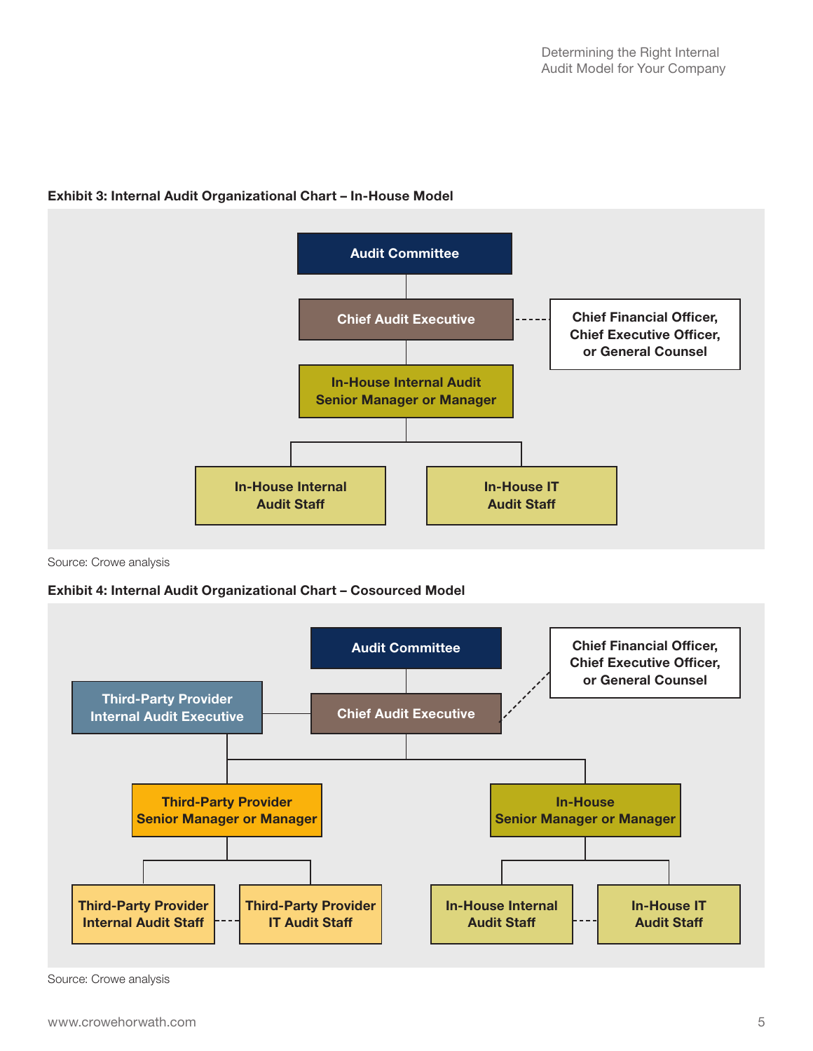

#### Exhibit 3: Internal Audit Organizational Chart – In-House Model

Source: Crowe analysis

#### Exhibit 4: Internal Audit Organizational Chart – Cosourced Model



Source: Crowe analysis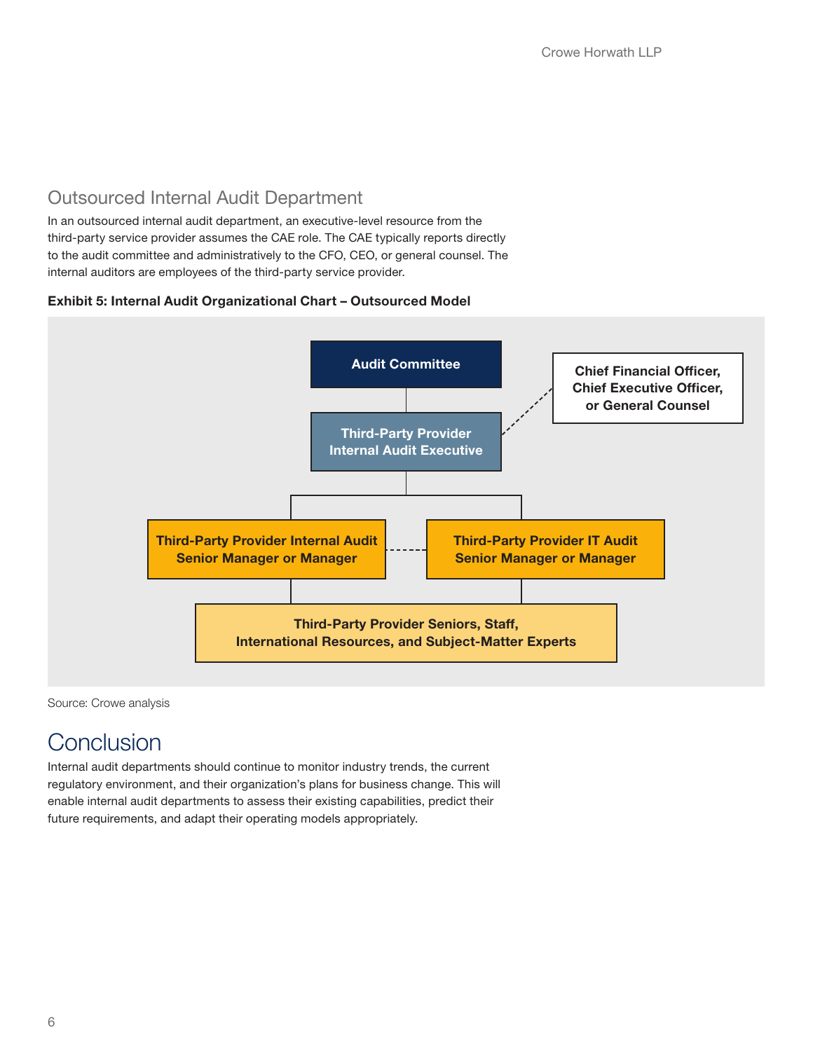### Outsourced Internal Audit Department

In an outsourced internal audit department, an executive-level resource from the third-party service provider assumes the CAE role. The CAE typically reports directly to the audit committee and administratively to the CFO, CEO, or general counsel. The internal auditors are employees of the third-party service provider.

#### Exhibit 5: Internal Audit Organizational Chart – Outsourced Model



Source: Crowe analysis

## **Conclusion**

Internal audit departments should continue to monitor industry trends, the current regulatory environment, and their organization's plans for business change. This will enable internal audit departments to assess their existing capabilities, predict their future requirements, and adapt their operating models appropriately.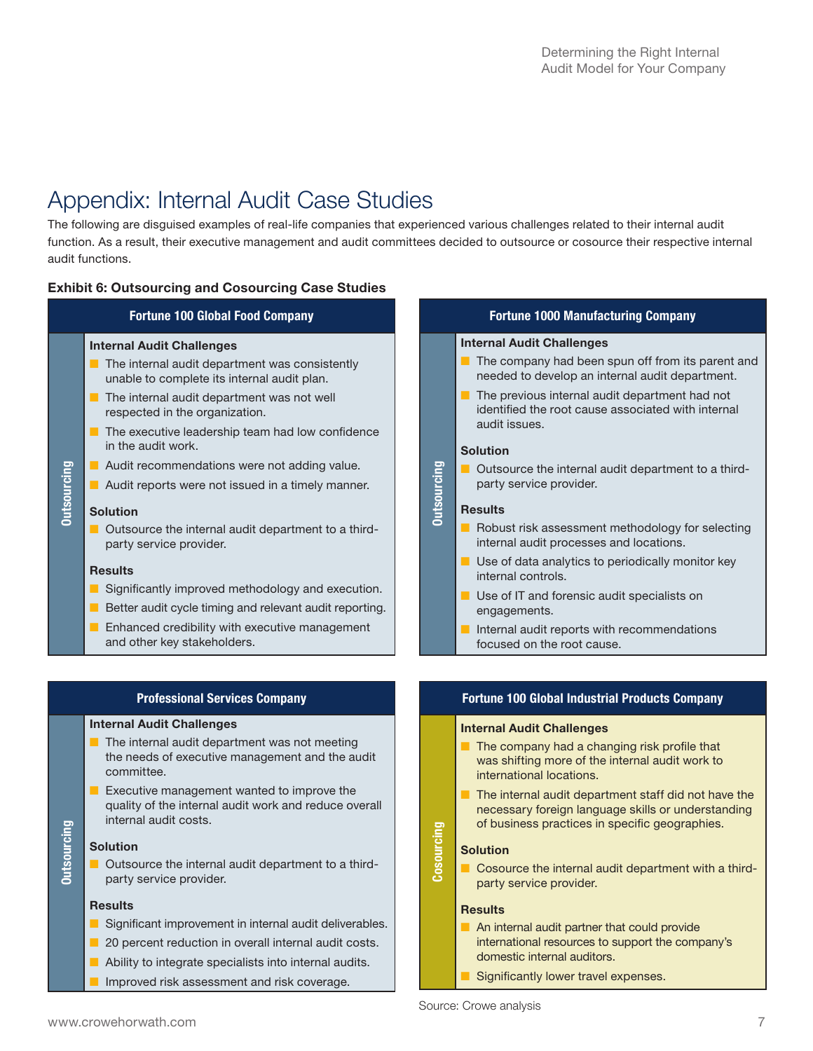## Appendix: Internal Audit Case Studies

The following are disguised examples of real-life companies that experienced various challenges related to their internal audit function. As a result, their executive management and audit committees decided to outsource or cosource their respective internal audit functions.

#### Exhibit 6: Outsourcing and Cosourcing Case Studies

#### Fortune 100 Global Food Company

#### Internal Audit Challenges

- The internal audit department was consistently unable to complete its internal audit plan.
- The internal audit department was not well respected in the organization.
- The executive leadership team had low confidence in the audit work.
- Audit recommendations were not adding value.
- Audit reports were not issued in a timely manner.

#### Solution

Outsourcing

**Outsourcing** 

■ Outsource the internal audit department to a thirdparty service provider.

#### **Results**

- Significantly improved methodology and execution.
- Better audit cycle timing and relevant audit reporting.
- Enhanced credibility with executive management and other key stakeholders.

#### Professional Services Company

#### Internal Audit Challenges

- The internal audit department was not meeting the needs of executive management and the audit committee.
- Executive management wanted to improve the quality of the internal audit work and reduce overall internal audit costs.

#### Solution

Outsourcing

**Outsourcing** 

■ Outsource the internal audit department to a thirdparty service provider.

#### Results

- Significant improvement in internal audit deliverables.
- 20 percent reduction in overall internal audit costs.
- Ability to integrate specialists into internal audits.
- **I** Improved risk assessment and risk coverage.

#### Fortune 1000 Manufacturing Company

#### Internal Audit Challenges

- The company had been spun off from its parent and needed to develop an internal audit department.
- The previous internal audit department had not identified the root cause associated with internal audit issues.

#### Solution

■ Outsource the internal audit department to a thirdparty service provider.

#### **Results**

Outsourcing

**Outsourcing** 

- Robust risk assessment methodology for selecting internal audit processes and locations.
- Use of data analytics to periodically monitor key internal controls.
- Use of IT and forensic audit specialists on engagements.
- Internal audit reports with recommendations focused on the root cause.

#### Fortune 100 Global Industrial Products Company

#### Internal Audit Challenges

- The company had a changing risk profile that was shifting more of the internal audit work to international locations.
- The internal audit department staff did not have the necessary foreign language skills or understanding of business practices in specific geographies.

#### Solution

**Cosourcing** 

Cosource the internal audit department with a thirdparty service provider.

#### **Results**

- An internal audit partner that could provide international resources to support the company's domestic internal auditors.
- Significantly lower travel expenses.